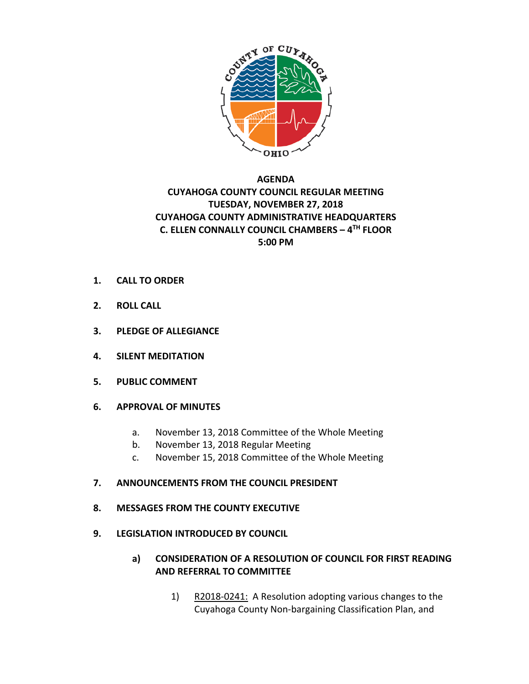

# **AGENDA CUYAHOGA COUNTY COUNCIL REGULAR MEETING TUESDAY, NOVEMBER 27, 2018 CUYAHOGA COUNTY ADMINISTRATIVE HEADQUARTERS C. ELLEN CONNALLY COUNCIL CHAMBERS – 4TH FLOOR 5:00 PM**

- **1. CALL TO ORDER**
- **2. ROLL CALL**
- **3. PLEDGE OF ALLEGIANCE**
- **4. SILENT MEDITATION**
- **5. PUBLIC COMMENT**
- **6. APPROVAL OF MINUTES**
	- a. November 13, 2018 Committee of the Whole Meeting
	- b. November 13, 2018 Regular Meeting
	- c. November 15, 2018 Committee of the Whole Meeting
- **7. ANNOUNCEMENTS FROM THE COUNCIL PRESIDENT**
- **8. MESSAGES FROM THE COUNTY EXECUTIVE**
- **9. LEGISLATION INTRODUCED BY COUNCIL**

## **a) CONSIDERATION OF A RESOLUTION OF COUNCIL FOR FIRST READING AND REFERRAL TO COMMITTEE**

1) R2018-0241: A Resolution adopting various changes to the Cuyahoga County Non-bargaining Classification Plan, and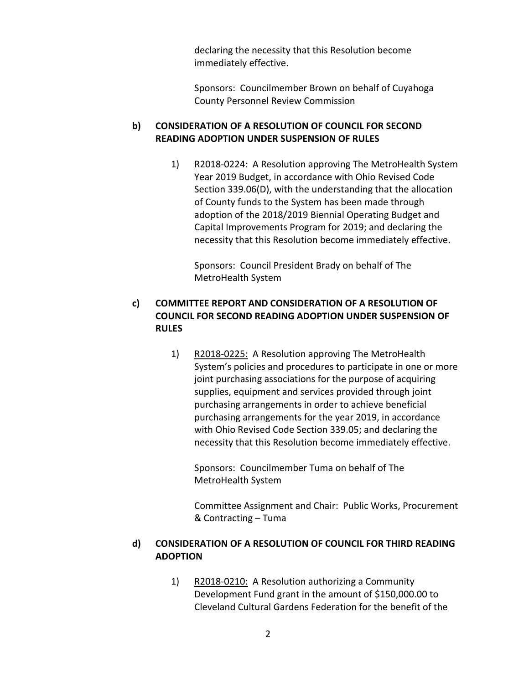declaring the necessity that this Resolution become immediately effective.

Sponsors: Councilmember Brown on behalf of Cuyahoga County Personnel Review Commission

### **b) CONSIDERATION OF A RESOLUTION OF COUNCIL FOR SECOND READING ADOPTION UNDER SUSPENSION OF RULES**

1) R2018-0224: A Resolution approving The MetroHealth System Year 2019 Budget, in accordance with Ohio Revised Code Section 339.06(D), with the understanding that the allocation of County funds to the System has been made through adoption of the 2018/2019 Biennial Operating Budget and Capital Improvements Program for 2019; and declaring the necessity that this Resolution become immediately effective.

Sponsors: Council President Brady on behalf of The MetroHealth System

# **c) COMMITTEE REPORT AND CONSIDERATION OF A RESOLUTION OF COUNCIL FOR SECOND READING ADOPTION UNDER SUSPENSION OF RULES**

1) R2018-0225: A Resolution approving The MetroHealth System's policies and procedures to participate in one or more joint purchasing associations for the purpose of acquiring supplies, equipment and services provided through joint purchasing arrangements in order to achieve beneficial purchasing arrangements for the year 2019, in accordance with Ohio Revised Code Section 339.05; and declaring the necessity that this Resolution become immediately effective.

Sponsors: Councilmember Tuma on behalf of The MetroHealth System

Committee Assignment and Chair: Public Works, Procurement & Contracting – Tuma

## **d) CONSIDERATION OF A RESOLUTION OF COUNCIL FOR THIRD READING ADOPTION**

1) R2018-0210: A Resolution authorizing a Community Development Fund grant in the amount of \$150,000.00 to Cleveland Cultural Gardens Federation for the benefit of the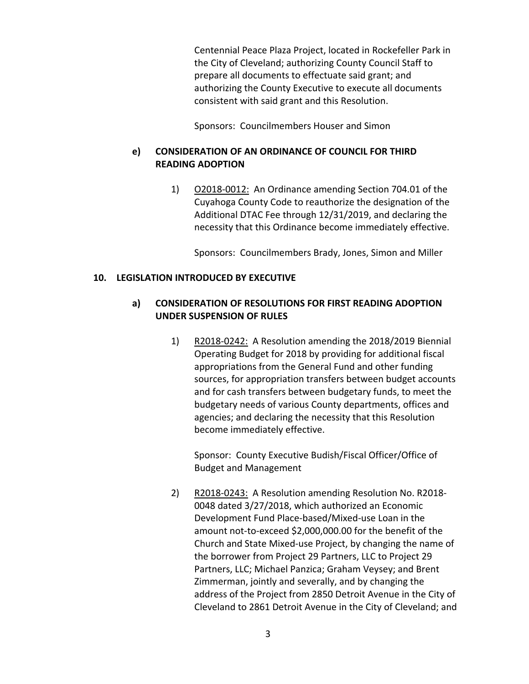Centennial Peace Plaza Project, located in Rockefeller Park in the City of Cleveland; authorizing County Council Staff to prepare all documents to effectuate said grant; and authorizing the County Executive to execute all documents consistent with said grant and this Resolution.

Sponsors: Councilmembers Houser and Simon

## **e) CONSIDERATION OF AN ORDINANCE OF COUNCIL FOR THIRD READING ADOPTION**

1) O2018-0012: An Ordinance amending Section 704.01 of the Cuyahoga County Code to reauthorize the designation of the Additional DTAC Fee through 12/31/2019, and declaring the necessity that this Ordinance become immediately effective.

Sponsors: Councilmembers Brady, Jones, Simon and Miller

### **10. LEGISLATION INTRODUCED BY EXECUTIVE**

### **a) CONSIDERATION OF RESOLUTIONS FOR FIRST READING ADOPTION UNDER SUSPENSION OF RULES**

1) R2018-0242: A Resolution amending the 2018/2019 Biennial Operating Budget for 2018 by providing for additional fiscal appropriations from the General Fund and other funding sources, for appropriation transfers between budget accounts and for cash transfers between budgetary funds, to meet the budgetary needs of various County departments, offices and agencies; and declaring the necessity that this Resolution become immediately effective.

Sponsor: County Executive Budish/Fiscal Officer/Office of Budget and Management

2) R2018-0243: A Resolution amending Resolution No. R2018-0048 dated 3/27/2018, which authorized an Economic Development Fund Place-based/Mixed-use Loan in the amount not-to-exceed \$2,000,000.00 for the benefit of the Church and State Mixed-use Project, by changing the name of the borrower from Project 29 Partners, LLC to Project 29 Partners, LLC; Michael Panzica; Graham Veysey; and Brent Zimmerman, jointly and severally, and by changing the address of the Project from 2850 Detroit Avenue in the City of Cleveland to 2861 Detroit Avenue in the City of Cleveland; and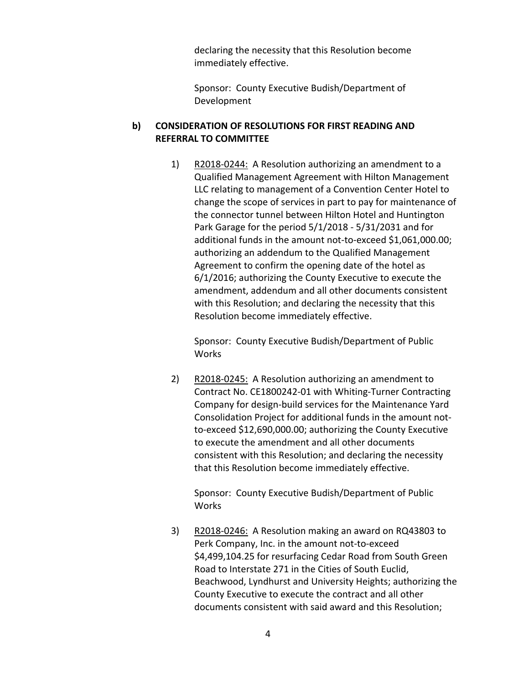declaring the necessity that this Resolution become immediately effective.

Sponsor: County Executive Budish/Department of Development

### **b) CONSIDERATION OF RESOLUTIONS FOR FIRST READING AND REFERRAL TO COMMITTEE**

1) R2018-0244: A Resolution authorizing an amendment to a Qualified Management Agreement with Hilton Management LLC relating to management of a Convention Center Hotel to change the scope of services in part to pay for maintenance of the connector tunnel between Hilton Hotel and Huntington Park Garage for the period 5/1/2018 - 5/31/2031 and for additional funds in the amount not-to-exceed \$1,061,000.00; authorizing an addendum to the Qualified Management Agreement to confirm the opening date of the hotel as 6/1/2016; authorizing the County Executive to execute the amendment, addendum and all other documents consistent with this Resolution; and declaring the necessity that this Resolution become immediately effective.

Sponsor: County Executive Budish/Department of Public Works

2) R2018-0245: A Resolution authorizing an amendment to Contract No. CE1800242-01 with Whiting-Turner Contracting Company for design-build services for the Maintenance Yard Consolidation Project for additional funds in the amount notto-exceed \$12,690,000.00; authorizing the County Executive to execute the amendment and all other documents consistent with this Resolution; and declaring the necessity that this Resolution become immediately effective.

Sponsor: County Executive Budish/Department of Public **Works** 

3) R2018-0246: A Resolution making an award on RQ43803 to Perk Company, Inc. in the amount not-to-exceed \$4,499,104.25 for resurfacing Cedar Road from South Green Road to Interstate 271 in the Cities of South Euclid, Beachwood, Lyndhurst and University Heights; authorizing the County Executive to execute the contract and all other documents consistent with said award and this Resolution;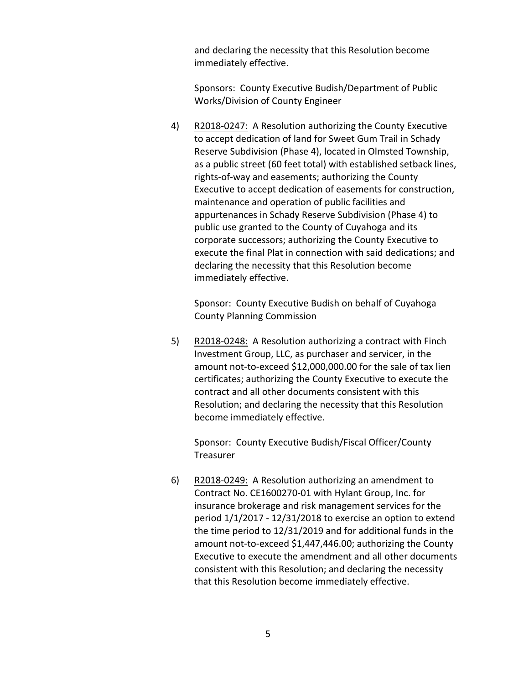and declaring the necessity that this Resolution become immediately effective.

Sponsors: County Executive Budish/Department of Public Works/Division of County Engineer

4) R2018-0247: A Resolution authorizing the County Executive to accept dedication of land for Sweet Gum Trail in Schady Reserve Subdivision (Phase 4), located in Olmsted Township, as a public street (60 feet total) with established setback lines, rights-of-way and easements; authorizing the County Executive to accept dedication of easements for construction, maintenance and operation of public facilities and appurtenances in Schady Reserve Subdivision (Phase 4) to public use granted to the County of Cuyahoga and its corporate successors; authorizing the County Executive to execute the final Plat in connection with said dedications; and declaring the necessity that this Resolution become immediately effective.

Sponsor: County Executive Budish on behalf of Cuyahoga County Planning Commission

5) R2018-0248: A Resolution authorizing a contract with Finch Investment Group, LLC, as purchaser and servicer, in the amount not-to-exceed \$12,000,000.00 for the sale of tax lien certificates; authorizing the County Executive to execute the contract and all other documents consistent with this Resolution; and declaring the necessity that this Resolution become immediately effective.

Sponsor: County Executive Budish/Fiscal Officer/County **Treasurer** 

6) R2018-0249: A Resolution authorizing an amendment to Contract No. CE1600270-01 with Hylant Group, Inc. for insurance brokerage and risk management services for the period 1/1/2017 - 12/31/2018 to exercise an option to extend the time period to 12/31/2019 and for additional funds in the amount not-to-exceed \$1,447,446.00; authorizing the County Executive to execute the amendment and all other documents consistent with this Resolution; and declaring the necessity that this Resolution become immediately effective.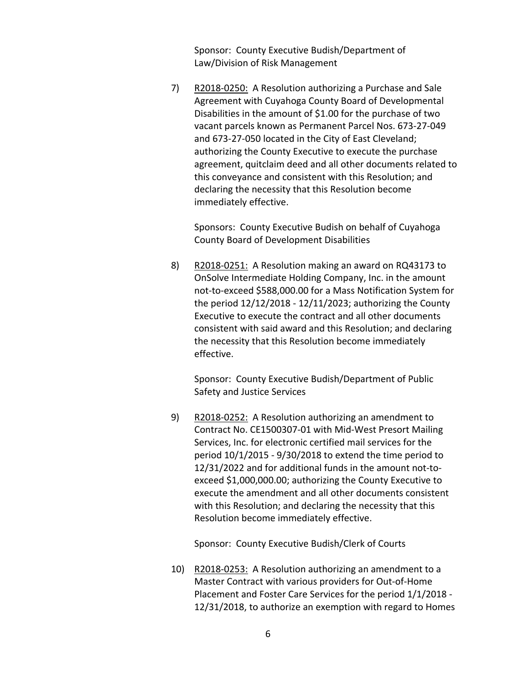Sponsor: County Executive Budish/Department of Law/Division of Risk Management

7) R2018-0250: A Resolution authorizing a Purchase and Sale Agreement with Cuyahoga County Board of Developmental Disabilities in the amount of \$1.00 for the purchase of two vacant parcels known as Permanent Parcel Nos. 673-27-049 and 673-27-050 located in the City of East Cleveland; authorizing the County Executive to execute the purchase agreement, quitclaim deed and all other documents related to this conveyance and consistent with this Resolution; and declaring the necessity that this Resolution become immediately effective.

Sponsors: County Executive Budish on behalf of Cuyahoga County Board of Development Disabilities

8) R2018-0251: A Resolution making an award on RQ43173 to OnSolve Intermediate Holding Company, Inc. in the amount not-to-exceed \$588,000.00 for a Mass Notification System for the period 12/12/2018 - 12/11/2023; authorizing the County Executive to execute the contract and all other documents consistent with said award and this Resolution; and declaring the necessity that this Resolution become immediately effective.

Sponsor: County Executive Budish/Department of Public Safety and Justice Services

9) R2018-0252: A Resolution authorizing an amendment to Contract No. CE1500307-01 with Mid-West Presort Mailing Services, Inc. for electronic certified mail services for the period 10/1/2015 - 9/30/2018 to extend the time period to 12/31/2022 and for additional funds in the amount not-toexceed \$1,000,000.00; authorizing the County Executive to execute the amendment and all other documents consistent with this Resolution; and declaring the necessity that this Resolution become immediately effective.

Sponsor: County Executive Budish/Clerk of Courts

10) R2018-0253: A Resolution authorizing an amendment to a Master Contract with various providers for Out-of-Home Placement and Foster Care Services for the period 1/1/2018 - 12/31/2018, to authorize an exemption with regard to Homes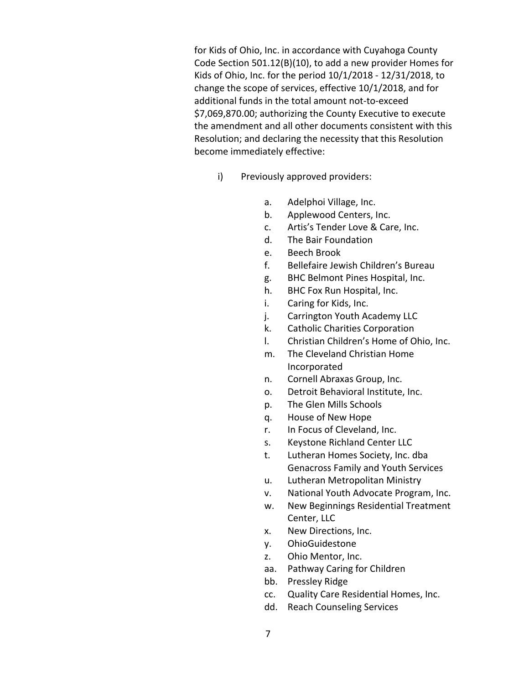for Kids of Ohio, Inc. in accordance with Cuyahoga County Code Section 501.12(B)(10), to add a new provider Homes for Kids of Ohio, Inc. for the period 10/1/2018 - 12/31/2018, to change the scope of services, effective 10/1/2018, and for additional funds in the total amount not-to-exceed \$7,069,870.00; authorizing the County Executive to execute the amendment and all other documents consistent with this Resolution; and declaring the necessity that this Resolution become immediately effective:

- i) Previously approved providers:
	- a. Adelphoi Village, Inc.
	- b. Applewood Centers, Inc.
	- c. Artis's Tender Love & Care, Inc.
	- d. The Bair Foundation
	- e. Beech Brook
	- f. Bellefaire Jewish Children's Bureau
	- g. BHC Belmont Pines Hospital, Inc.
	- h. BHC Fox Run Hospital, Inc.
	- i. Caring for Kids, Inc.
	- j. Carrington Youth Academy LLC
	- k. Catholic Charities Corporation
	- l. Christian Children's Home of Ohio, Inc.
	- m. The Cleveland Christian Home Incorporated
	- n. Cornell Abraxas Group, Inc.
	- o. Detroit Behavioral Institute, Inc.
	- p. The Glen Mills Schools
	- q. House of New Hope
	- r. In Focus of Cleveland, Inc.
	- s. Keystone Richland Center LLC
	- t. Lutheran Homes Society, Inc. dba Genacross Family and Youth Services
	- u. Lutheran Metropolitan Ministry
	- v. National Youth Advocate Program, Inc.
	- w. New Beginnings Residential Treatment Center, LLC
	- x. New Directions, Inc.
	- y. OhioGuidestone
	- z. Ohio Mentor, Inc.
	- aa. Pathway Caring for Children
	- bb. Pressley Ridge
	- cc. Quality Care Residential Homes, Inc.
	- dd. Reach Counseling Services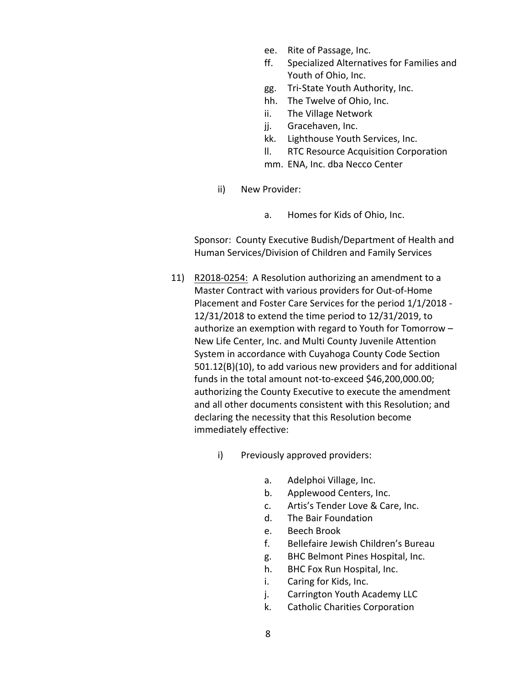- ee. Rite of Passage, Inc.
- ff. Specialized Alternatives for Families and Youth of Ohio, Inc.
- gg. Tri‐State Youth Authority, Inc.
- hh. The Twelve of Ohio, Inc.
- ii. The Village Network
- jj. Gracehaven, Inc.
- kk. Lighthouse Youth Services, Inc.
- ll. RTC Resource Acquisition Corporation
- mm. ENA, Inc. dba Necco Center
- ii) New Provider:
	- a. Homes for Kids of Ohio, Inc.

Sponsor: County Executive Budish/Department of Health and Human Services/Division of Children and Family Services

- 11) R2018-0254: A Resolution authorizing an amendment to a Master Contract with various providers for Out-of-Home Placement and Foster Care Services for the period 1/1/2018 - 12/31/2018 to extend the time period to 12/31/2019, to authorize an exemption with regard to Youth for Tomorrow – New Life Center, Inc. and Multi County Juvenile Attention System in accordance with Cuyahoga County Code Section 501.12(B)(10), to add various new providers and for additional funds in the total amount not-to-exceed \$46,200,000.00; authorizing the County Executive to execute the amendment and all other documents consistent with this Resolution; and declaring the necessity that this Resolution become immediately effective:
	- i) Previously approved providers:
		- a. Adelphoi Village, Inc.
		- b. Applewood Centers, Inc.
		- c. Artis's Tender Love & Care, Inc.
		- d. The Bair Foundation
		- e. Beech Brook
		- f. Bellefaire Jewish Children's Bureau
		- g. BHC Belmont Pines Hospital, Inc.
		- h. BHC Fox Run Hospital, Inc.
		- i. Caring for Kids, Inc.
		- j. Carrington Youth Academy LLC
		- k. Catholic Charities Corporation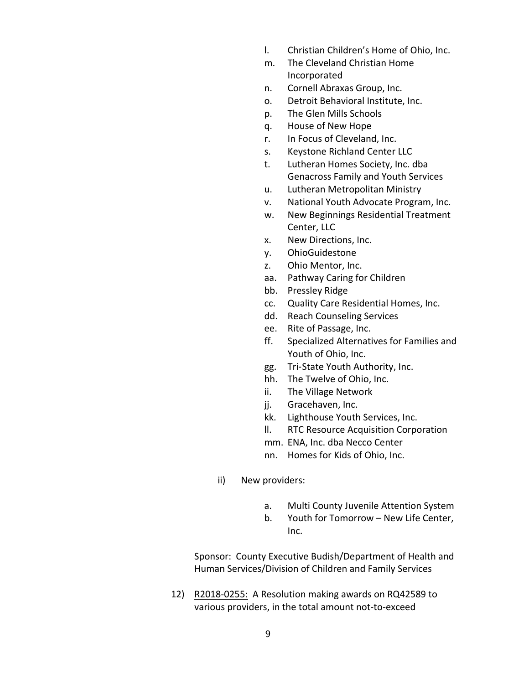- l. Christian Children's Home of Ohio, Inc.
- m. The Cleveland Christian Home Incorporated
- n. Cornell Abraxas Group, Inc.
- o. Detroit Behavioral Institute, Inc.
- p. The Glen Mills Schools
- q. House of New Hope
- r. In Focus of Cleveland, Inc.
- s. Keystone Richland Center LLC
- t. Lutheran Homes Society, Inc. dba Genacross Family and Youth Services
- u. Lutheran Metropolitan Ministry
- v. National Youth Advocate Program, Inc.
- w. New Beginnings Residential Treatment Center, LLC
- x. New Directions, Inc.
- y. OhioGuidestone
- z. Ohio Mentor, Inc.
- aa. Pathway Caring for Children
- bb. Pressley Ridge
- cc. Quality Care Residential Homes, Inc.
- dd. Reach Counseling Services
- ee. Rite of Passage, Inc.
- ff. Specialized Alternatives for Families and Youth of Ohio, Inc.
- gg. Tri‐State Youth Authority, Inc.
- hh. The Twelve of Ohio, Inc.
- ii. The Village Network
- jj. Gracehaven, Inc.
- kk. Lighthouse Youth Services, Inc.
- ll. RTC Resource Acquisition Corporation
- mm. ENA, Inc. dba Necco Center
- nn. Homes for Kids of Ohio, Inc.
- ii) New providers:
	- a. Multi County Juvenile Attention System
	- b. Youth for Tomorrow New Life Center, Inc.

Sponsor: County Executive Budish/Department of Health and Human Services/Division of Children and Family Services

12) R2018-0255: A Resolution making awards on RQ42589 to various providers, in the total amount not-to-exceed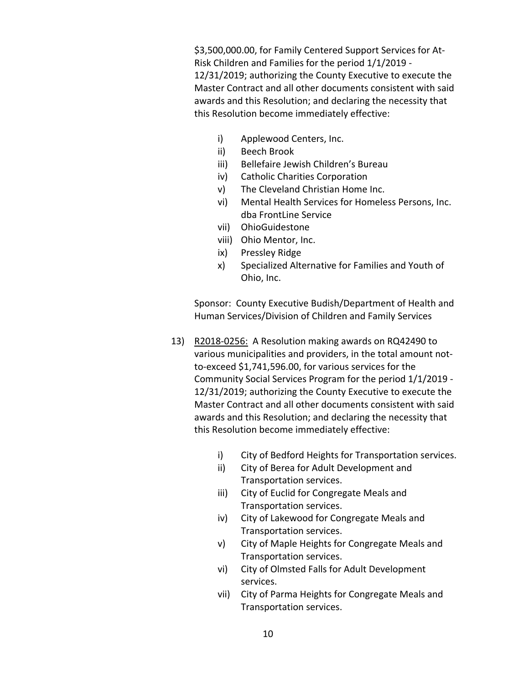\$3,500,000.00, for Family Centered Support Services for At-Risk Children and Families for the period 1/1/2019 - 12/31/2019; authorizing the County Executive to execute the Master Contract and all other documents consistent with said awards and this Resolution; and declaring the necessity that this Resolution become immediately effective:

- i) Applewood Centers, Inc.
- ii) Beech Brook
- iii) Bellefaire Jewish Children's Bureau
- iv) Catholic Charities Corporation
- v) The Cleveland Christian Home Inc.
- vi) Mental Health Services for Homeless Persons, Inc. dba FrontLine Service
- vii) OhioGuidestone
- viii) Ohio Mentor, Inc.
- ix) Pressley Ridge
- x) Specialized Alternative for Families and Youth of Ohio, Inc.

Sponsor: County Executive Budish/Department of Health and Human Services/Division of Children and Family Services

- 13) R2018-0256: A Resolution making awards on RQ42490 to various municipalities and providers, in the total amount notto-exceed \$1,741,596.00, for various services for the Community Social Services Program for the period 1/1/2019 - 12/31/2019; authorizing the County Executive to execute the Master Contract and all other documents consistent with said awards and this Resolution; and declaring the necessity that this Resolution become immediately effective:
	- i) City of Bedford Heights for Transportation services.
	- ii) City of Berea for Adult Development and Transportation services.
	- iii) City of Euclid for Congregate Meals and Transportation services.
	- iv) City of Lakewood for Congregate Meals and Transportation services.
	- v) City of Maple Heights for Congregate Meals and Transportation services.
	- vi) City of Olmsted Falls for Adult Development services.
	- vii) City of Parma Heights for Congregate Meals and Transportation services.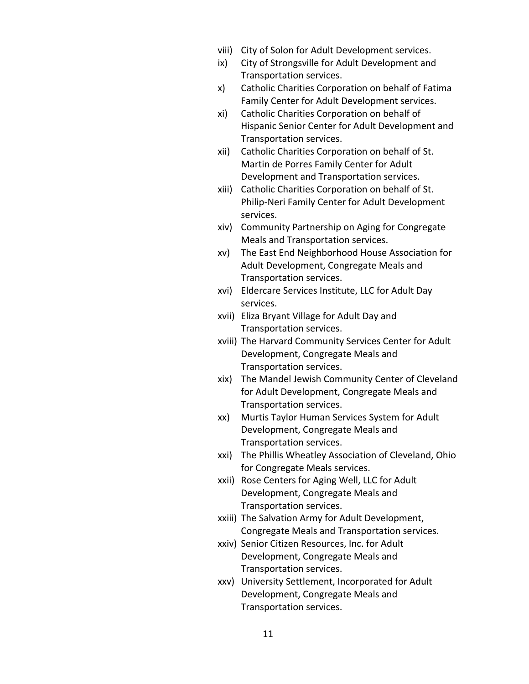- viii) City of Solon for Adult Development services.
- ix) City of Strongsville for Adult Development and Transportation services.
- x) Catholic Charities Corporation on behalf of Fatima Family Center for Adult Development services.
- xi) Catholic Charities Corporation on behalf of Hispanic Senior Center for Adult Development and Transportation services.
- xii) Catholic Charities Corporation on behalf of St. Martin de Porres Family Center for Adult Development and Transportation services.
- xiii) Catholic Charities Corporation on behalf of St. Philip-Neri Family Center for Adult Development services.
- xiv) Community Partnership on Aging for Congregate Meals and Transportation services.
- xv) The East End Neighborhood House Association for Adult Development, Congregate Meals and Transportation services.
- xvi) Eldercare Services Institute, LLC for Adult Day services.
- xvii) Eliza Bryant Village for Adult Day and Transportation services.
- xviii) The Harvard Community Services Center for Adult Development, Congregate Meals and Transportation services.
- xix) The Mandel Jewish Community Center of Cleveland for Adult Development, Congregate Meals and Transportation services.
- xx) Murtis Taylor Human Services System for Adult Development, Congregate Meals and Transportation services.
- xxi) The Phillis Wheatley Association of Cleveland, Ohio for Congregate Meals services.
- xxii) Rose Centers for Aging Well, LLC for Adult Development, Congregate Meals and Transportation services.
- xxiii) The Salvation Army for Adult Development, Congregate Meals and Transportation services.
- xxiv) Senior Citizen Resources, Inc. for Adult Development, Congregate Meals and Transportation services.
- xxv) University Settlement, Incorporated for Adult Development, Congregate Meals and Transportation services.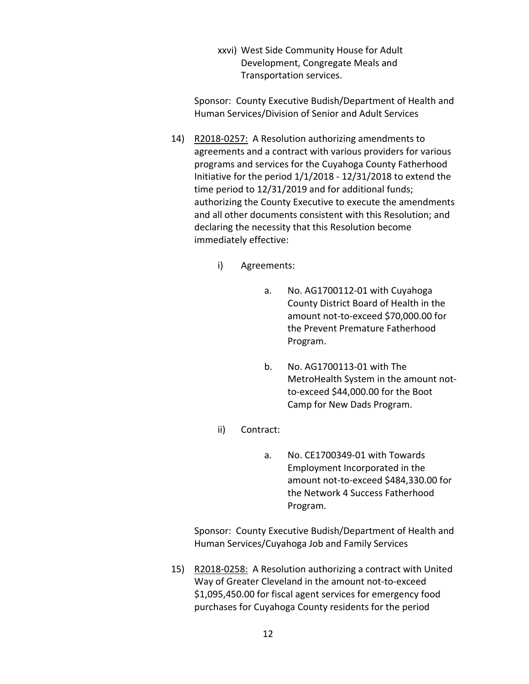xxvi) West Side Community House for Adult Development, Congregate Meals and Transportation services.

Sponsor: County Executive Budish/Department of Health and Human Services/Division of Senior and Adult Services

- 14) R2018-0257: A Resolution authorizing amendments to agreements and a contract with various providers for various programs and services for the Cuyahoga County Fatherhood Initiative for the period 1/1/2018 - 12/31/2018 to extend the time period to 12/31/2019 and for additional funds; authorizing the County Executive to execute the amendments and all other documents consistent with this Resolution; and declaring the necessity that this Resolution become immediately effective:
	- i) Agreements:
		- a. No. AG1700112-01 with Cuyahoga County District Board of Health in the amount not-to-exceed \$70,000.00 for the Prevent Premature Fatherhood Program.
		- b. No. AG1700113-01 with The MetroHealth System in the amount notto-exceed \$44,000.00 for the Boot Camp for New Dads Program.
	- ii) Contract:
		- a. No. CE1700349-01 with Towards Employment Incorporated in the amount not-to-exceed \$484,330.00 for the Network 4 Success Fatherhood Program.

Sponsor: County Executive Budish/Department of Health and Human Services/Cuyahoga Job and Family Services

15) R2018-0258: A Resolution authorizing a contract with United Way of Greater Cleveland in the amount not-to-exceed \$1,095,450.00 for fiscal agent services for emergency food purchases for Cuyahoga County residents for the period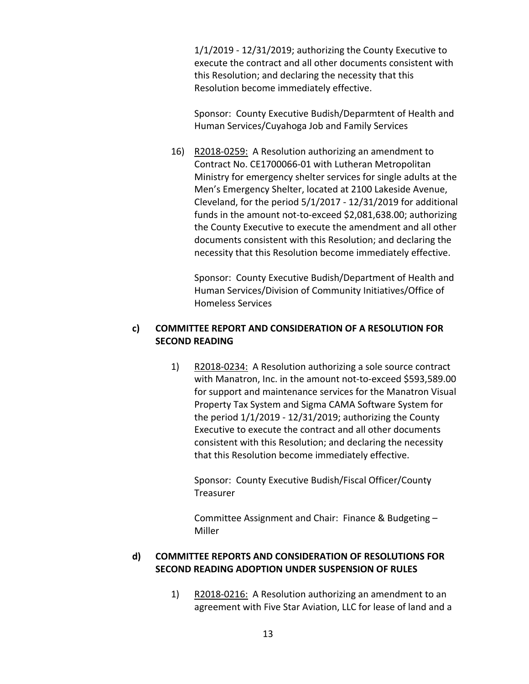1/1/2019 - 12/31/2019; authorizing the County Executive to execute the contract and all other documents consistent with this Resolution; and declaring the necessity that this Resolution become immediately effective.

Sponsor: County Executive Budish/Deparmtent of Health and Human Services/Cuyahoga Job and Family Services

16) R2018-0259: A Resolution authorizing an amendment to Contract No. CE1700066-01 with Lutheran Metropolitan Ministry for emergency shelter services for single adults at the Men's Emergency Shelter, located at 2100 Lakeside Avenue, Cleveland, for the period 5/1/2017 - 12/31/2019 for additional funds in the amount not-to-exceed \$2,081,638.00; authorizing the County Executive to execute the amendment and all other documents consistent with this Resolution; and declaring the necessity that this Resolution become immediately effective.

Sponsor: County Executive Budish/Department of Health and Human Services/Division of Community Initiatives/Office of Homeless Services

## **c) COMMITTEE REPORT AND CONSIDERATION OF A RESOLUTION FOR SECOND READING**

1) R2018-0234: A Resolution authorizing a sole source contract with Manatron, Inc. in the amount not-to-exceed \$593,589.00 for support and maintenance services for the Manatron Visual Property Tax System and Sigma CAMA Software System for the period 1/1/2019 - 12/31/2019; authorizing the County Executive to execute the contract and all other documents consistent with this Resolution; and declaring the necessity that this Resolution become immediately effective.

Sponsor: County Executive Budish/Fiscal Officer/County Treasurer

Committee Assignment and Chair: Finance & Budgeting – Miller

## **d) COMMITTEE REPORTS AND CONSIDERATION OF RESOLUTIONS FOR SECOND READING ADOPTION UNDER SUSPENSION OF RULES**

1) R2018-0216: A Resolution authorizing an amendment to an agreement with Five Star Aviation, LLC for lease of land and a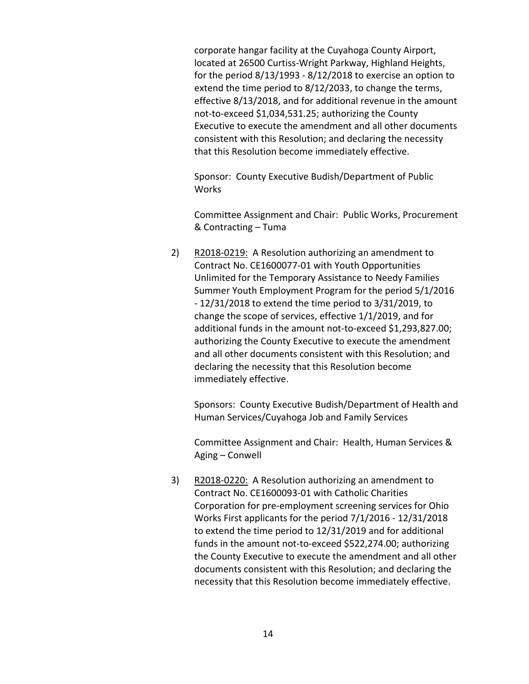corporate hangar facility at the Cuyahoga County Airport, located at 26500 Curtiss-Wright Parkway, Highland Heights, for the period 8/13/1993 - 8/12/2018 to exercise an option to extend the time period to 8/12/2033, to change the terms, effective 8/13/2018, and for additional revenue in the amount not-to-exceed \$1,034,531.25; authorizing the County Executive to execute the amendment and all other documents consistent with this Resolution; and declaring the necessity that this Resolution become immediately effective.

Sponsor: County Executive Budish/Department of Public Works

Committee Assignment and Chair: Public Works, Procurement & Contracting – Tuma

2) R2018-0219: A Resolution authorizing an amendment to Contract No. CE1600077-01 with Youth Opportunities Unlimited for the Temporary Assistance to Needy Families Summer Youth Employment Program for the period 5/1/2016 - 12/31/2018 to extend the time period to 3/31/2019, to change the scope of services, effective 1/1/2019, and for additional funds in the amount not-to-exceed \$1,293,827.00; authorizing the County Executive to execute the amendment and all other documents consistent with this Resolution; and declaring the necessity that this Resolution become immediately effective.

Sponsors: County Executive Budish/Department of Health and Human Services/Cuyahoga Job and Family Services

Committee Assignment and Chair: Health, Human Services & Aging – Conwell

3) R2018-0220: A Resolution authorizing an amendment to Contract No. CE1600093-01 with Catholic Charities Corporation for pre-employment screening services for Ohio Works First applicants for the period 7/1/2016 - 12/31/2018 to extend the time period to 12/31/2019 and for additional funds in the amount not-to-exceed \$522,274.00; authorizing the County Executive to execute the amendment and all other documents consistent with this Resolution; and declaring the necessity that this Resolution become immediately effective.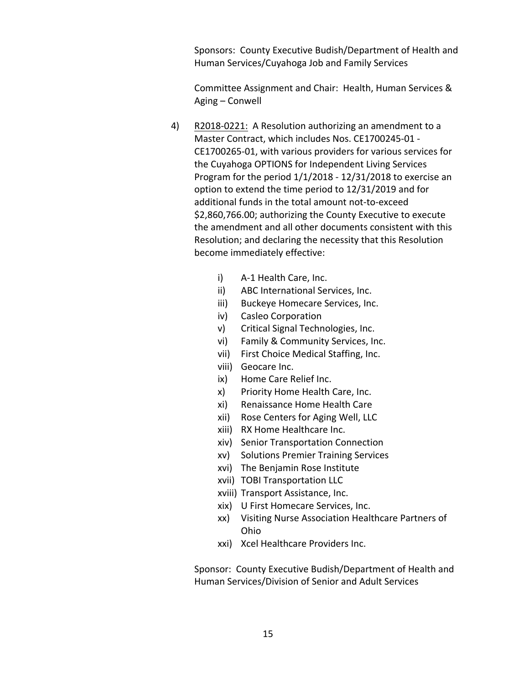Sponsors: County Executive Budish/Department of Health and Human Services/Cuyahoga Job and Family Services

Committee Assignment and Chair: Health, Human Services & Aging – Conwell

- 4) R2018-0221: A Resolution authorizing an amendment to a Master Contract, which includes Nos. CE1700245-01 - CE1700265-01, with various providers for various services for the Cuyahoga OPTIONS for Independent Living Services Program for the period 1/1/2018 - 12/31/2018 to exercise an option to extend the time period to 12/31/2019 and for additional funds in the total amount not-to-exceed \$2,860,766.00; authorizing the County Executive to execute the amendment and all other documents consistent with this Resolution; and declaring the necessity that this Resolution become immediately effective:
	- i) A-1 Health Care, Inc.
	- ii) ABC International Services, Inc.
	- iii) Buckeye Homecare Services, Inc.
	- iv) Casleo Corporation
	- v) Critical Signal Technologies, Inc.
	- vi) Family & Community Services, Inc.
	- vii) First Choice Medical Staffing, Inc.
	- viii) Geocare Inc.
	- ix) Home Care Relief Inc.
	- x) Priority Home Health Care, Inc.
	- xi) Renaissance Home Health Care
	- xii) Rose Centers for Aging Well, LLC
	- xiii) RX Home Healthcare Inc.
	- xiv) Senior Transportation Connection
	- xv) Solutions Premier Training Services
	- xvi) The Benjamin Rose Institute
	- xvii) TOBI Transportation LLC
	- xviii) Transport Assistance, Inc.
	- xix) U First Homecare Services, Inc.
	- xx) Visiting Nurse Association Healthcare Partners of Ohio
	- xxi) Xcel Healthcare Providers Inc.

Sponsor: County Executive Budish/Department of Health and Human Services/Division of Senior and Adult Services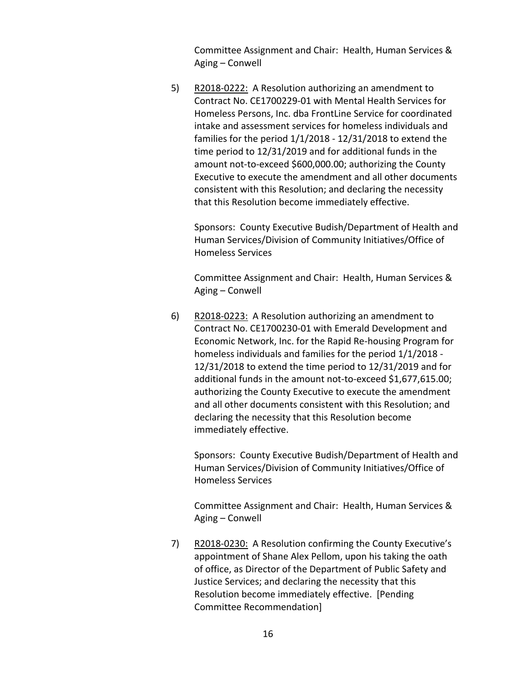Committee Assignment and Chair: Health, Human Services & Aging – Conwell

5) R2018-0222: A Resolution authorizing an amendment to Contract No. CE1700229-01 with Mental Health Services for Homeless Persons, Inc. dba FrontLine Service for coordinated intake and assessment services for homeless individuals and families for the period 1/1/2018 - 12/31/2018 to extend the time period to 12/31/2019 and for additional funds in the amount not-to-exceed \$600,000.00; authorizing the County Executive to execute the amendment and all other documents consistent with this Resolution; and declaring the necessity that this Resolution become immediately effective.

Sponsors: County Executive Budish/Department of Health and Human Services/Division of Community Initiatives/Office of Homeless Services

Committee Assignment and Chair: Health, Human Services & Aging – Conwell

6) R2018-0223: A Resolution authorizing an amendment to Contract No. CE1700230-01 with Emerald Development and Economic Network, Inc. for the Rapid Re-housing Program for homeless individuals and families for the period 1/1/2018 - 12/31/2018 to extend the time period to 12/31/2019 and for additional funds in the amount not-to-exceed \$1,677,615.00; authorizing the County Executive to execute the amendment and all other documents consistent with this Resolution; and declaring the necessity that this Resolution become immediately effective.

Sponsors: County Executive Budish/Department of Health and Human Services/Division of Community Initiatives/Office of Homeless Services

Committee Assignment and Chair: Health, Human Services & Aging – Conwell

7) R2018-0230: A Resolution confirming the County Executive's appointment of Shane Alex Pellom, upon his taking the oath of office, as Director of the Department of Public Safety and Justice Services; and declaring the necessity that this Resolution become immediately effective. [Pending Committee Recommendation]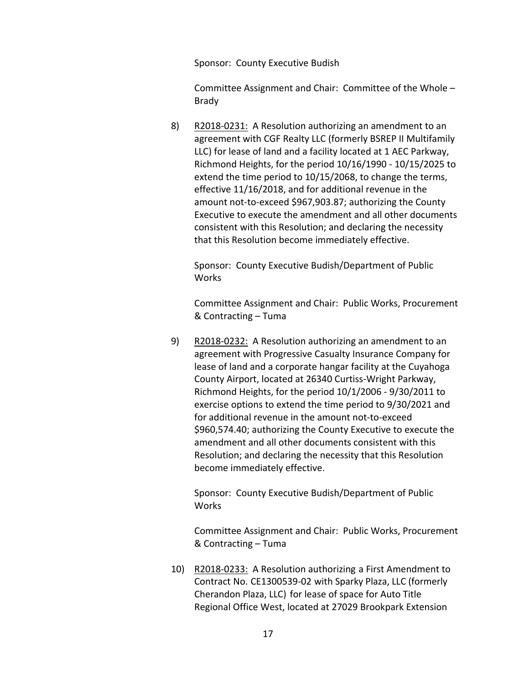Sponsor: County Executive Budish

Committee Assignment and Chair: Committee of the Whole – Brady

8) R2018-0231: A Resolution authorizing an amendment to an agreement with CGF Realty LLC (formerly BSREP II Multifamily LLC) for lease of land and a facility located at 1 AEC Parkway, Richmond Heights, for the period 10/16/1990 - 10/15/2025 to extend the time period to 10/15/2068, to change the terms, effective 11/16/2018, and for additional revenue in the amount not-to-exceed \$967,903.87; authorizing the County Executive to execute the amendment and all other documents consistent with this Resolution; and declaring the necessity that this Resolution become immediately effective.

Sponsor: County Executive Budish/Department of Public **Works** 

Committee Assignment and Chair: Public Works, Procurement & Contracting – Tuma

9) R2018-0232: A Resolution authorizing an amendment to an agreement with Progressive Casualty Insurance Company for lease of land and a corporate hangar facility at the Cuyahoga County Airport, located at 26340 Curtiss-Wright Parkway, Richmond Heights, for the period 10/1/2006 - 9/30/2011 to exercise options to extend the time period to 9/30/2021 and for additional revenue in the amount not-to-exceed \$960,574.40; authorizing the County Executive to execute the amendment and all other documents consistent with this Resolution; and declaring the necessity that this Resolution become immediately effective.

Sponsor: County Executive Budish/Department of Public **Works** 

Committee Assignment and Chair: Public Works, Procurement & Contracting – Tuma

10) R2018-0233: A Resolution authorizing a First Amendment to Contract No. CE1300539-02 with Sparky Plaza, LLC (formerly Cherandon Plaza, LLC) for lease of space for Auto Title Regional Office West, located at 27029 Brookpark Extension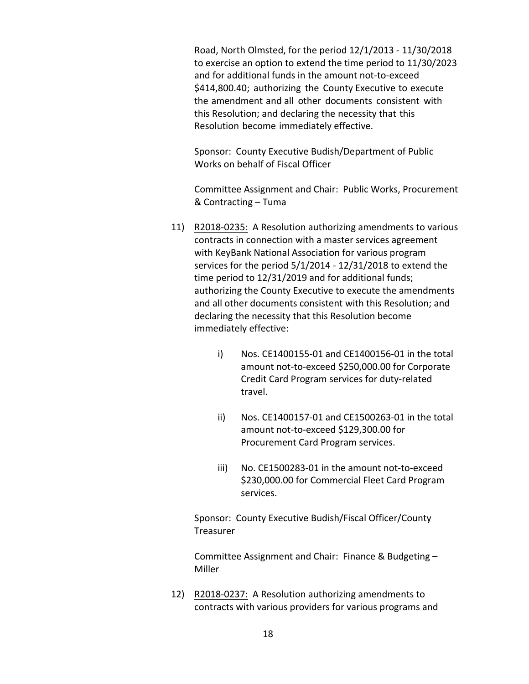Road, North Olmsted, for the period 12/1/2013 - 11/30/2018 to exercise an option to extend the time period to 11/30/2023 and for additional funds in the amount not-to-exceed \$414,800.40; authorizing the County Executive to execute the amendment and all other documents consistent with this Resolution; and declaring the necessity that this Resolution become immediately effective.

Sponsor: County Executive Budish/Department of Public Works on behalf of Fiscal Officer

Committee Assignment and Chair: Public Works, Procurement & Contracting – Tuma

- 11) R2018-0235: A Resolution authorizing amendments to various contracts in connection with a master services agreement with KeyBank National Association for various program services for the period 5/1/2014 - 12/31/2018 to extend the time period to 12/31/2019 and for additional funds; authorizing the County Executive to execute the amendments and all other documents consistent with this Resolution; and declaring the necessity that this Resolution become immediately effective:
	- i) Nos. CE1400155-01 and CE1400156-01 in the total amount not-to-exceed \$250,000.00 for Corporate Credit Card Program services for duty-related travel.
	- ii) Nos. CE1400157-01 and CE1500263-01 in the total amount not-to-exceed \$129,300.00 for Procurement Card Program services.
	- iii) No. CE1500283-01 in the amount not-to-exceed \$230,000.00 for Commercial Fleet Card Program services.

Sponsor: County Executive Budish/Fiscal Officer/County **Treasurer** 

Committee Assignment and Chair: Finance & Budgeting – Miller

12) R2018-0237: A Resolution authorizing amendments to contracts with various providers for various programs and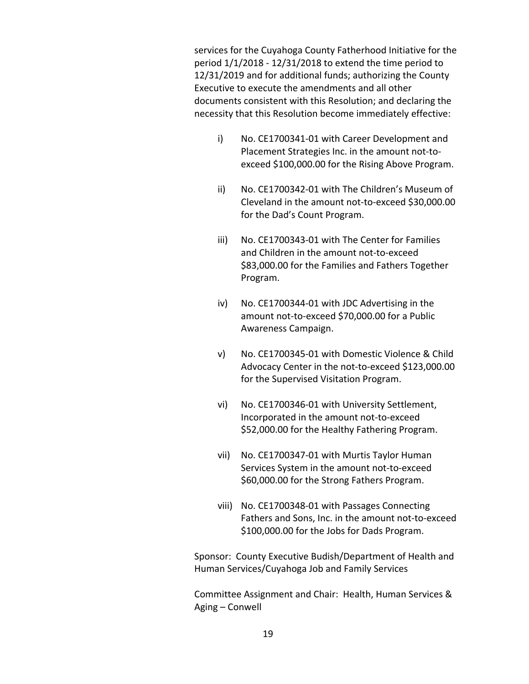services for the Cuyahoga County Fatherhood Initiative for the period 1/1/2018 - 12/31/2018 to extend the time period to 12/31/2019 and for additional funds; authorizing the County Executive to execute the amendments and all other documents consistent with this Resolution; and declaring the necessity that this Resolution become immediately effective:

- i) No. CE1700341-01 with Career Development and Placement Strategies Inc. in the amount not-toexceed \$100,000.00 for the Rising Above Program.
- ii) No. CE1700342-01 with The Children's Museum of Cleveland in the amount not-to-exceed \$30,000.00 for the Dad's Count Program.
- iii) No. CE1700343-01 with The Center for Families and Children in the amount not-to-exceed \$83,000.00 for the Families and Fathers Together Program.
- iv) No. CE1700344-01 with JDC Advertising in the amount not-to-exceed \$70,000.00 for a Public Awareness Campaign.
- v) No. CE1700345-01 with Domestic Violence & Child Advocacy Center in the not-to-exceed \$123,000.00 for the Supervised Visitation Program.
- vi) No. CE1700346-01 with University Settlement, Incorporated in the amount not-to-exceed \$52,000.00 for the Healthy Fathering Program.
- vii) No. CE1700347-01 with Murtis Taylor Human Services System in the amount not-to-exceed \$60,000.00 for the Strong Fathers Program.
- viii) No. CE1700348-01 with Passages Connecting Fathers and Sons, Inc. in the amount not-to-exceed \$100,000.00 for the Jobs for Dads Program.

Sponsor: County Executive Budish/Department of Health and Human Services/Cuyahoga Job and Family Services

Committee Assignment and Chair: Health, Human Services & Aging – Conwell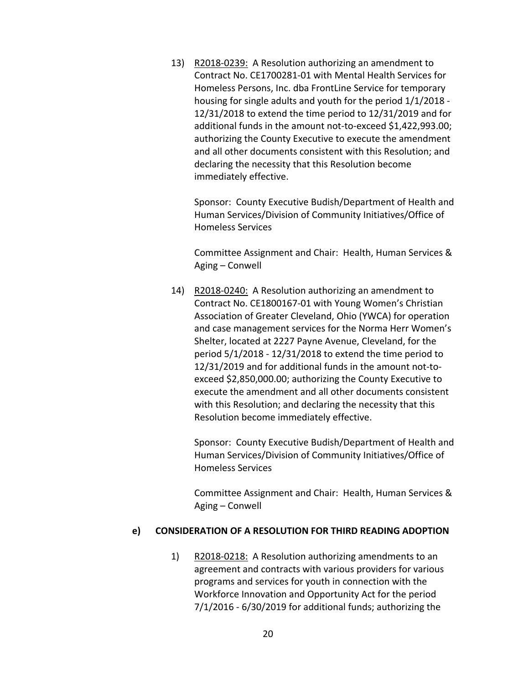13) R2018-0239: A Resolution authorizing an amendment to Contract No. CE1700281-01 with Mental Health Services for Homeless Persons, Inc. dba FrontLine Service for temporary housing for single adults and youth for the period 1/1/2018 - 12/31/2018 to extend the time period to 12/31/2019 and for additional funds in the amount not-to-exceed \$1,422,993.00; authorizing the County Executive to execute the amendment and all other documents consistent with this Resolution; and declaring the necessity that this Resolution become immediately effective.

Sponsor: County Executive Budish/Department of Health and Human Services/Division of Community Initiatives/Office of Homeless Services

Committee Assignment and Chair: Health, Human Services & Aging – Conwell

14) R2018-0240: A Resolution authorizing an amendment to Contract No. CE1800167-01 with Young Women's Christian Association of Greater Cleveland, Ohio (YWCA) for operation and case management services for the Norma Herr Women's Shelter, located at 2227 Payne Avenue, Cleveland, for the period 5/1/2018 - 12/31/2018 to extend the time period to 12/31/2019 and for additional funds in the amount not-toexceed \$2,850,000.00; authorizing the County Executive to execute the amendment and all other documents consistent with this Resolution; and declaring the necessity that this Resolution become immediately effective.

Sponsor: County Executive Budish/Department of Health and Human Services/Division of Community Initiatives/Office of Homeless Services

Committee Assignment and Chair: Health, Human Services & Aging – Conwell

### **e) CONSIDERATION OF A RESOLUTION FOR THIRD READING ADOPTION**

1) R2018-0218: A Resolution authorizing amendments to an agreement and contracts with various providers for various programs and services for youth in connection with the Workforce Innovation and Opportunity Act for the period 7/1/2016 - 6/30/2019 for additional funds; authorizing the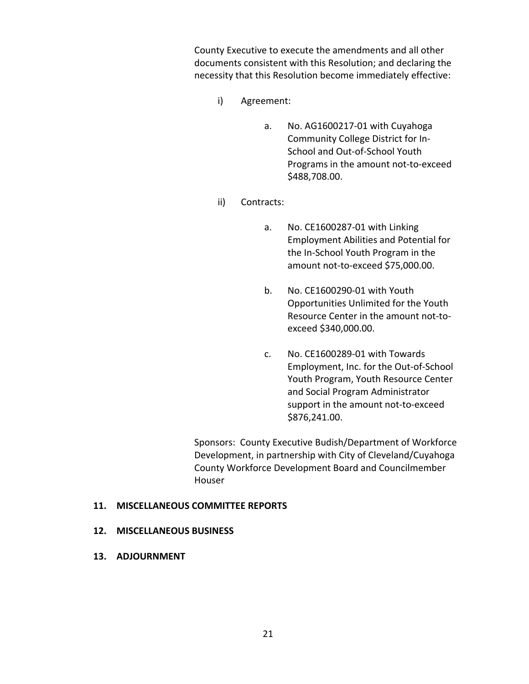County Executive to execute the amendments and all other documents consistent with this Resolution; and declaring the necessity that this Resolution become immediately effective:

- i) Agreement:
	- a. No. AG1600217-01 with Cuyahoga Community College District for In-School and Out-of-School Youth Programs in the amount not-to-exceed \$488,708.00.
- ii) Contracts:
	- a. No. CE1600287-01 with Linking Employment Abilities and Potential for the In-School Youth Program in the amount not-to-exceed \$75,000.00.
	- b. No. CE1600290-01 with Youth Opportunities Unlimited for the Youth Resource Center in the amount not-toexceed \$340,000.00.
	- c. No. CE1600289-01 with Towards Employment, Inc. for the Out-of-School Youth Program, Youth Resource Center and Social Program Administrator support in the amount not-to-exceed \$876,241.00.

Sponsors: County Executive Budish/Department of Workforce Development, in partnership with City of Cleveland/Cuyahoga County Workforce Development Board and Councilmember Houser

### **11. MISCELLANEOUS COMMITTEE REPORTS**

#### **12. MISCELLANEOUS BUSINESS**

**13. ADJOURNMENT**